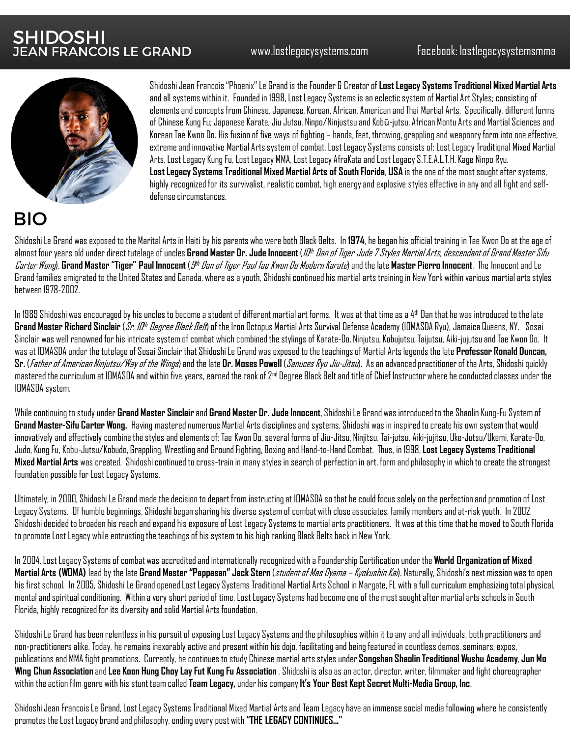

Shidoshi Jean Francois "Phoenix" Le Grand is the Founder & Creator of **Lost Legacy Systems Traditional Mixed Martial Arts**  and all systems within it. Founded in 1998, Lost Legacy Systems is an eclectic system of Martial Art Styles; consisting of elements and concepts from Chinese, Japanese, Korean, African, American and Thai Martial Arts. Specifically, different forms of Chinese Kung Fu; Japanese Karate, Jiu Jutsu, Ninpo/Ninjustsuand Kobū-jutsu, African Montu Arts and Martial Sciences and Korean Tae Kwon Do. His fusion of five ways of fighting – hands, feet, throwing, grappling and weaponry form into one effective, extreme and innovative Martial Arts system of combat. Lost Legacy Systems consists of: Lost Legacy Traditional Mixed Martial Arts, Lost Legacy Kung Fu, Lost Legacy MMA, Lost Legacy AfraKataand Lost Legacy S.T.E.A.L.T.H. Kage Ninpo Ryu. **Lost Legacy Systems Traditional Mixed Martial Arts of South Florida**, **USA** is the one of the most sought after systems, highly recognized for its survivalist, realistic combat, high energy and explosive styles effective in any and all fight and selfdefense circumstances.

## BIO

Shidoshi Le Grand was exposed to the Marital Arts in Haiti by his parents who were both Black Belts. In **1974**, he began his official training in Tae Kwon Do at the age of almost four years old under direct tutelage of uncles **Grand Master Dr. Jude Innocent** (*ID<sup>th</sup> Dan of Tiger Jude 7 Styles Martial Arts, descendant of Grand Master Sifu* Carter Wong), **Grand Master "Tiger" Paul Innocent** (9th Dan of Tiger Paul Tae Kwon Do Modern Karate) and the late **Master Pierro Innocent**. The Innocent and Le Grand families emigrated to the United States and Canada, where as a youth, Shidoshi continued his martial arts training in New York within various martial arts styles between 1978-2002.

In 1989 Shidoshi was encouraged by his uncles to become a student of different martial art forms. It was at that time as a  $4<sup>th</sup>$  Dan that he was introduced to the late Grand Master Richard Sinclair (*Sr. ID<sup>th</sup> Degree Black Belt*) of the Iron Octopus Martial Arts Survival Defense Academy (IOMASDA Ryu), Jamaica Queens, NY. Sosai Sinclair was well renowned for his intricate system of combat which combined the stylings of Karate-Do, Ninjutsu, Kobujutsu, Taijutsu, Aiki-jujutsu and Tae Kwon Do. It was at IOMASDA under the tutelage of Sosai Sinclair that Shidoshi Le Grand was exposed to the teachings of Martial Arts legends the late **Professor Ronald Duncan, Sr.** (Father of American Ninjutsu/Way of the Wings) and the late **Dr. Moses Powell** (Sanuces Ryu Jiu-Jitsu). As an advanced practitioner of the Arts, Shidoshi quickly mastered the curriculum at IOMASDA and within five years, earned the rank of 2nd Degree Black Belt and title of Chief Instructor where he conducted classes under the IOMASDA system.

While continuing to study under **Grand Master Sinclair**and **Grand Master Dr. Jude Innocent**, Shidoshi Le Grand was introduced to the Shaolin Kung-Fu System of **Grand Master-Sifu Carter Wong.** Having mastered numerous Martial Arts disciplines and systems, Shidoshi was in inspired to create his own system that would innovatively and effectively combine the styles and elements of: Tae Kwon Do, several forms of Jiu-Jitsu, Ninjitsu, Tai-jutsu, Aiki-jujitsu, Uke-Jutsu/Ukemi, Karate-Do, Judo, Kung Fu, Kobu-Jutsu/Kobudo, Grappling, Wrestling and Ground Fighting, Boxing and Hand-to-Hand Combat. Thus, in 1998, **Lost Legacy Systems Traditional Mixed Martial Arts** was created. Shidoshi continued to cross-train in many styles in search of perfection in art, form and philosophy in which to create the strongest foundation possible for Lost Legacy Systems.

Ultimately, in 2000, Shidoshi Le Grand made the decision to depart from instructing at IOMASDA so that he could focus solely on the perfection and promotion of Lost Legacy Systems. Of humble beginnings, Shidoshi began sharing his diverse system of combat with close associates, family membersand at-risk youth. In 2002, Shidoshi decided to broaden his reach and expand his exposure of Lost Legacy Systems to martial arts practitioners. It was at this time that he moved to South Florida to promote Lost Legacy while entrusting the teachings of his system to his high ranking Black Belts back in New York.

In 2004, Lost Legacy Systems of combat was accredited and internationally recognized with a Foundership Certification under the **World Organization of Mixed**  Martial Arts (WDMA) lead by the late Grand Master "Pappasan" Jack Stern (*student of Mas Oyama – Kyokushin Kai*). Naturally, Shidoshi's next mission was to open his first school. In 2005, Shidoshi Le Grand opened Lost Legacy Systems Traditional Martial Arts School in Margate, FL with a full curriculum emphasizing total physical, mental and spiritual conditioning. Within a very short period of time, Lost Legacy Systems had become one of the most soughtafter martial arts schools in South Florida, highly recognized for its diversity and solid Martial Arts foundation.

Shidoshi Le Grand has been relentless in his pursuit of exposing Lost Legacy Systems and the philosophies within it to any and all individuals, both practitioners and non-practitioners alike. Today, he remains inexorably active and present within his dojo, facilitating and being featured in countless demos, seminars, expos, publications and MMA fight promotions. Currently, he continues to study Chinese martial arts styles under **Songshan Shaolin Traditional Wushu Academy**, **Jun Mo Wing Chun Association** and **Lee Koon Hung Choy Lay Fut Kung Fu Association** . Shidoshi is also as an actor, director, writer, filmmaker and fight choreographer within the action film genre with his stunt team called **Team Legacy,** under his company **It's Your Best Kept Secret Multi-Media Group, Inc**.

Shidoshi Jean Francois Le Grand, Lost Legacy Systems Traditional Mixed Martial Arts and Team Legacy have an immense social mediafollowing where he consistently promotes the Lost Legacy brand and philosophy, ending every post with **"THE LEGACY CONTINUES..."**